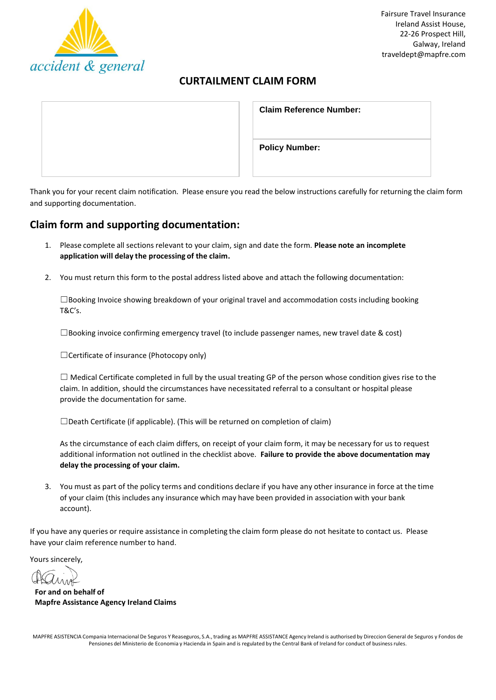

# **CURTAILMENT CLAIM FORM**

| <b>Claim Reference Number:</b> |
|--------------------------------|
| <b>Policy Number:</b>          |

Thank you for your recent claim notification. Please ensure you read the below instructions carefully for returning the claim form and supporting documentation.

# **Claim form and supporting documentation:**

- 1. Please complete all sectionsrelevant to your claim, sign and date the form. **Please note an incomplete application will delay the processing of the claim.**
- 2. You must return this form to the postal address listed above and attach the following documentation:

 $\square$ Booking Invoice showing breakdown of your original travel and accommodation costs including booking T&C's.

 $\square$ Booking invoice confirming emergency travel (to include passenger names, new travel date & cost)

☐Certificate of insurance (Photocopy only)

 $\Box$  Medical Certificate completed in full by the usual treating GP of the person whose condition gives rise to the claim. In addition, should the circumstances have necessitated referral to a consultant or hospital please provide the documentation for same.

☐Death Certificate (if applicable). (This will be returned on completion of claim)

As the circumstance of each claim differs, on receipt of your claim form, it may be necessary for us to request additional information not outlined in the checklist above. **Failure to provide the above documentation may delay the processing of your claim.**

3. You must as part of the policy terms and conditions declare if you have any other insurance in force at the time of your claim (this includes any insurance which may have been provided in association with your bank account).

If you have any queries or require assistance in completing the claim form please do not hesitate to contact us. Please have your claim reference number to hand.

Yours sincerely,

**For and on behalf of Mapfre Assistance Agency Ireland Claims**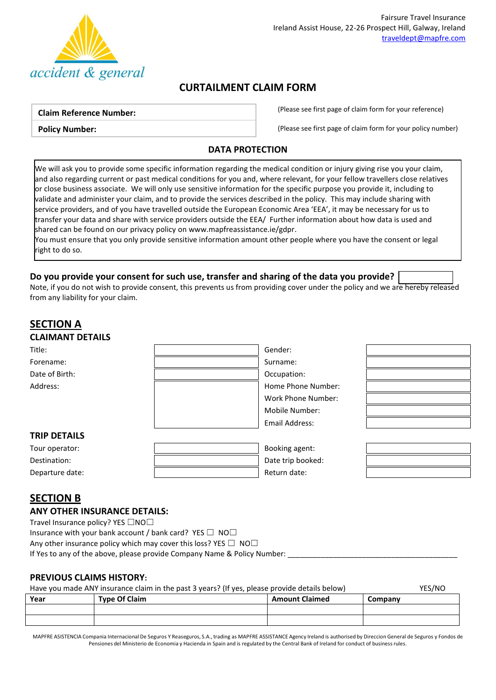

# **CURTAILMENT CLAIM FORM**

#### **Claim Reference Number:**

**Policy Number:**

(Please see first page of claim form for your reference)

(Please see first page of claim form for your policy number)

## **DATA PROTECTION**

We will ask you to provide some specific information regarding the medical condition or injury giving rise you your claim, and also regarding current or past medical conditions for you and, where relevant, for your fellow travellers close relatives or close business associate. We will only use sensitive information for the specific purpose you provide it, including to validate and administer your claim, and to provide the services described in the policy. This may include sharing with service providers, and of you have travelled outside the European Economic Area 'EEA', it may be necessary for us to transfer your data and share with service providers outside the EEA/ Further information about how data is used and shared can be found on our privacy policy o[n www.mapfreassistance.ie/gdpr.](http://www.mapfreassistance.ie/gdpr)

You must ensure that you only provide sensitive information amount other people where you have the consent or legal right to do so.

## **Do you provide your consent for such use, transfer and sharing of the data you provide?**

Note, if you do not wish to provide consent, this prevents us from providing cover under the policy and we are hereby released from any liability for your claim.

# **SECTION A CLAIMANT DETAILS** Title: Gender: Forename: Surname: Surname: Surname: Surname: Surname: Surname: Surname: Surname: Surname: Surname: Surname: Surname: Surname: Surname: Surname: Surname: Surname: Surname: Surname: Surname: Surname: Surname: Surname: Surna Date of Birth: Occupation: Address: Note and the Mathematic Section 1 and the Phone Number: Number: Number: Number: Number: Number: Number: Number: Number: Number: Number: Number: Number: Number: Number: Number: Number: Number: Number: Number: Numbe Work Phone Number: Mobile Number:



## **TRIP DETAILS**

| .               |                   |  |
|-----------------|-------------------|--|
| Tour operator:  | Booking agent:    |  |
| Destination:    | Date trip booked: |  |
| Departure date: | Return date:      |  |
|                 |                   |  |

Email Address:

# **SECTION B**

## **ANY OTHER INSURANCE DETAILS:**

Travel Insurance policy? YES □NO□

Insurance with your bank account / bank card? YES  $\Box$  NO $\Box$ 

Any other insurance policy which may cover this loss? YES  $\Box$  NO $\Box$ 

If Yes to any of the above, please provide Company Name & Policy Number:

## **PREVIOUS CLAIMS HISTORY:**

| YES/NO<br>Have you made ANY insurance claim in the past 3 years? (If yes, please provide details below) |                      |                       |         |  |
|---------------------------------------------------------------------------------------------------------|----------------------|-----------------------|---------|--|
| Year                                                                                                    | <b>Type Of Claim</b> | <b>Amount Claimed</b> | Company |  |
|                                                                                                         |                      |                       |         |  |

| MADERE ACICTENCIA Compania Internacional De Coguros V Researures C.A. trading as MADERE ACCICTANCE Agonou Ireland is outhorized by Direction Concret de Coguros y Fondas de |  |  |
|-----------------------------------------------------------------------------------------------------------------------------------------------------------------------------|--|--|
|                                                                                                                                                                             |  |  |

MAPFRE ASISTENCIA Compania Internacional De Seguros Y Reaseguros, S.A., trading as MAPFRE ASSISTANCE Agency Ireland is authorised by Direccion General de Seguros y Fondos de Pensiones del Ministerio de Economia y Hacienda in Spain and is regulated by the Central Bank of Ireland for conduct of business rules.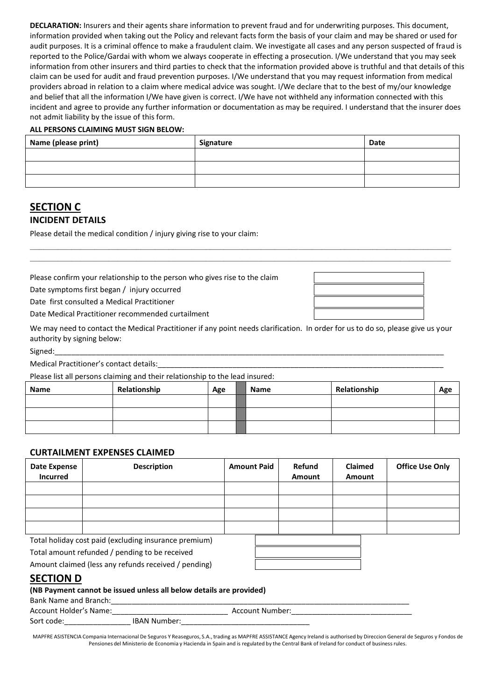**DECLARATION:** Insurers and their agents share information to prevent fraud and for underwriting purposes. This document, information provided when taking out the Policy and relevant facts form the basis of your claim and may be shared or used for audit purposes. It is a criminal offence to make a fraudulent claim. We investigate all cases and any person suspected of fraud is reported to the Police/Gardai with whom we always cooperate in effecting a prosecution. I/We understand that you may seek information from other insurers and third parties to check that the information provided above is truthful and that details of this claim can be used for audit and fraud prevention purposes. I/We understand that you may request information from medical providers abroad in relation to a claim where medical advice was sought. I/We declare that to the best of my/our knowledge and belief that all the information I/We have given is correct. I/We have not withheld any information connected with this incident and agree to provide any further information or documentation as may be required. I understand that the insurer does not admit liability by the issue of this form.

#### **ALL PERSONS CLAIMING MUST SIGN BELOW:**

| Name (please print) | Signature | <b>Date</b> |
|---------------------|-----------|-------------|
|                     |           |             |
|                     |           |             |
|                     |           |             |

## **SECTION C INCIDENT DETAILS**

Please detail the medical condition / injury giving rise to your claim:

Please confirm your relationship to the person who gives rise to the claim

Date symptoms first began / injury occurred

Date first consulted a Medical Practitioner

Date Medical Practitioner recommended curtailment

We may need to contact the Medical Practitioner if any point needs clarification. In order for us to do so, please give us your authority by signing below:

**\_\_\_\_\_\_\_\_\_\_\_\_\_\_\_\_\_\_\_\_\_\_\_\_\_\_\_\_\_\_\_\_\_\_\_\_\_\_\_\_\_\_\_\_\_\_\_\_\_\_\_\_\_\_\_\_\_\_\_\_\_\_\_\_\_\_\_\_\_\_\_\_\_\_\_\_\_\_\_\_\_\_\_\_\_\_\_\_\_\_\_ \_\_\_\_\_\_\_\_\_\_\_\_\_\_\_\_\_\_\_\_\_\_\_\_\_\_\_\_\_\_\_\_\_\_\_\_\_\_\_\_\_\_\_\_\_\_\_\_\_\_\_\_\_\_\_\_\_\_\_\_\_\_\_\_\_\_\_\_\_\_\_\_\_\_\_\_\_\_\_\_\_\_\_\_\_\_\_\_\_\_\_**

Signed:\_\_\_\_\_\_\_\_\_\_\_\_\_\_\_\_\_\_\_\_\_\_\_\_\_\_\_\_\_\_\_\_\_\_\_\_\_\_\_\_\_\_\_\_\_\_\_\_\_\_\_\_\_\_\_\_\_\_\_\_\_\_\_\_\_\_\_\_\_\_\_\_\_\_\_\_\_\_\_\_\_\_\_\_\_\_\_\_\_\_\_\_\_\_

Medical Practitioner's contact details:

Please list all persons claiming and their relationship to the lead insured:

| Name | Relationship | Age | <b>Name</b> | Relationship | Age |
|------|--------------|-----|-------------|--------------|-----|
|      |              |     |             |              |     |
|      |              |     |             |              |     |
|      |              |     |             |              |     |

## **CURTAILMENT EXPENSES CLAIMED**

| Date Expense<br><b>Incurred</b> | <b>Description</b>                                    | <b>Amount Paid</b> | Refund<br>Amount | <b>Claimed</b><br>Amount | <b>Office Use Only</b> |
|---------------------------------|-------------------------------------------------------|--------------------|------------------|--------------------------|------------------------|
|                                 |                                                       |                    |                  |                          |                        |
|                                 |                                                       |                    |                  |                          |                        |
|                                 |                                                       |                    |                  |                          |                        |
|                                 |                                                       |                    |                  |                          |                        |
|                                 | Total holiday cost naid (evcluding insurance premium) |                    |                  |                          |                        |

Total holiday cost paid (excluding insurance premium)

Total amount refunded / pending to be received

Amount claimed (less any refunds received / pending)

## **SECTION D**

#### **(NB Payment cannot be issued unless all below details are provided)**

| Bank Name and Branch:  |                     |                 |  |
|------------------------|---------------------|-----------------|--|
| Account Holder's Name: |                     | Account Number: |  |
| Sort code:             | <b>IBAN Number:</b> |                 |  |

MAPFRE ASISTENCIA Compania Internacional De Seguros Y Reaseguros, S.A., trading as MAPFRE ASSISTANCE Agency Ireland is authorised by Direccion General de Seguros y Fondos de Pensiones del Ministerio de Economia y Hacienda in Spain and is regulated by the Central Bank of Ireland for conduct of business rules.